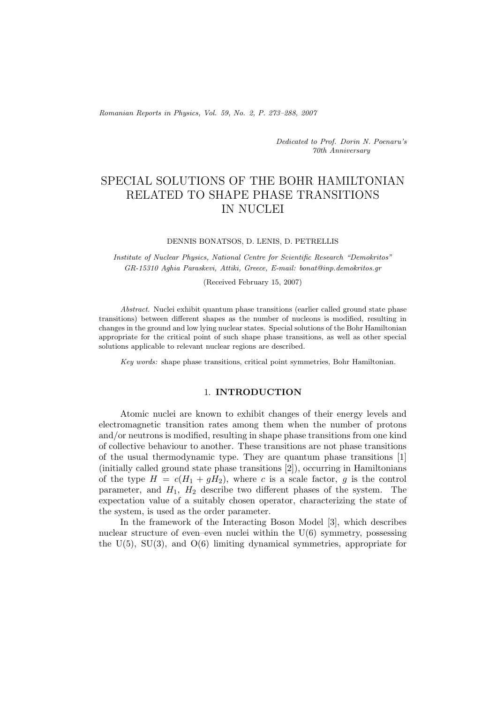*Romanian Reports in Physics, Vol. 59, No. 2, P. 273–288, 2007*

*Dedicated to Prof. Dorin N. Poenaru's 70th Anniversary*

# SPECIAL SOLUTIONS OF THE BOHR HAMILTONIAN RELATED TO SHAPE PHASE TRANSITIONS IN NUCLEI

#### DENNIS BONATSOS, D. LENIS, D. PETRELLIS

*Institute of Nuclear Physics, National Centre for Scientific Research "Demokritos" GR-15310 Aghia Paraskevi, Attiki, Greece, E-mail: bonat@inp.demokritos.gr*

(Received February 15, 2007)

*Abstract.* Nuclei exhibit quantum phase transitions (earlier called ground state phase transitions) between different shapes as the number of nucleons is modified, resulting in changes in the ground and low lying nuclear states. Special solutions of the Bohr Hamiltonian appropriate for the critical point of such shape phase transitions, as well as other special solutions applicable to relevant nuclear regions are described.

*Key words:* shape phase transitions, critical point symmetries, Bohr Hamiltonian.

### 1. **INTRODUCTION**

Atomic nuclei are known to exhibit changes of their energy levels and electromagnetic transition rates among them when the number of protons and/or neutrons is modified, resulting in shape phase transitions from one kind of collective behaviour to another. These transitions are not phase transitions of the usual thermodynamic type. They are quantum phase transitions [1] (initially called ground state phase transitions [2]), occurring in Hamiltonians of the type  $H = c(H_1 + gH_2)$ , where c is a scale factor, g is the control parameter, and  $H_1$ ,  $H_2$  describe two different phases of the system. The expectation value of a suitably chosen operator, characterizing the state of the system, is used as the order parameter.

In the framework of the Interacting Boson Model [3], which describes nuclear structure of even–even nuclei within the  $U(6)$  symmetry, possessing the U(5), SU(3), and O(6) limiting dynamical symmetries, appropriate for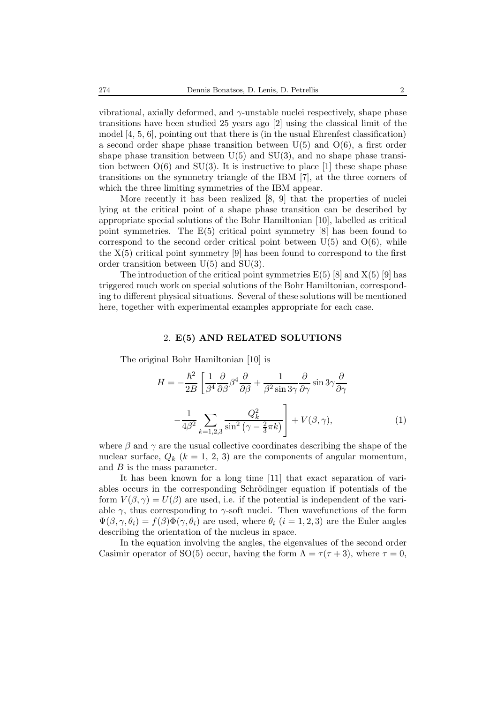vibrational, axially deformed, and  $\gamma$ -unstable nuclei respectively, shape phase transitions have been studied 25 years ago [2] using the classical limit of the model [4, 5, 6], pointing out that there is (in the usual Ehrenfest classification) a second order shape phase transition between  $U(5)$  and  $O(6)$ , a first order shape phase transition between  $U(5)$  and  $SU(3)$ , and no shape phase transition between  $O(6)$  and  $SU(3)$ . It is instructive to place [1] these shape phase transitions on the symmetry triangle of the IBM [7], at the three corners of which the three limiting symmetries of the IBM appear.

More recently it has been realized [8, 9] that the properties of nuclei lying at the critical point of a shape phase transition can be described by appropriate special solutions of the Bohr Hamiltonian [10], labelled as critical point symmetries. The E(5) critical point symmetry [8] has been found to correspond to the second order critical point between  $U(5)$  and  $O(6)$ , while the  $X(5)$  critical point symmetry [9] has been found to correspond to the first order transition between U(5) and SU(3).

The introduction of the critical point symmetries  $E(5)$  [8] and  $X(5)$  [9] has triggered much work on special solutions of the Bohr Hamiltonian, corresponding to different physical situations. Several of these solutions will be mentioned here, together with experimental examples appropriate for each case.

#### 2. **E(5) AND RELATED SOLUTIONS**

The original Bohr Hamiltonian [10] is

$$
H = -\frac{\hbar^2}{2B} \left[ \frac{1}{\beta^4} \frac{\partial}{\partial \beta} \beta^4 \frac{\partial}{\partial \beta} + \frac{1}{\beta^2 \sin 3\gamma} \frac{\partial}{\partial \gamma} \sin 3\gamma \frac{\partial}{\partial \gamma} \right]
$$

$$
-\frac{1}{4\beta^2} \sum_{k=1,2,3} \frac{Q_k^2}{\sin^2 \left(\gamma - \frac{2}{3}\pi k\right)} \right] + V(\beta, \gamma), \tag{1}
$$

where  $\beta$  and  $\gamma$  are the usual collective coordinates describing the shape of the nuclear surface,  $Q_k$  ( $k = 1, 2, 3$ ) are the components of angular momentum, and  $B$  is the mass parameter.

It has been known for a long time [11] that exact separation of variables occurs in the corresponding Schrödinger equation if potentials of the form  $V(\beta, \gamma) = U(\beta)$  are used, i.e. if the potential is independent of the variable  $\gamma$ , thus corresponding to  $\gamma$ -soft nuclei. Then wavefunctions of the form  $\Psi(\beta,\gamma,\theta_i) = f(\beta)\Phi(\gamma,\theta_i)$  are used, where  $\theta_i$   $(i=1,2,3)$  are the Euler angles describing the orientation of the nucleus in space.

In the equation involving the angles, the eigenvalues of the second order Casimir operator of SO(5) occur, having the form  $\Lambda = \tau(\tau + 3)$ , where  $\tau = 0$ ,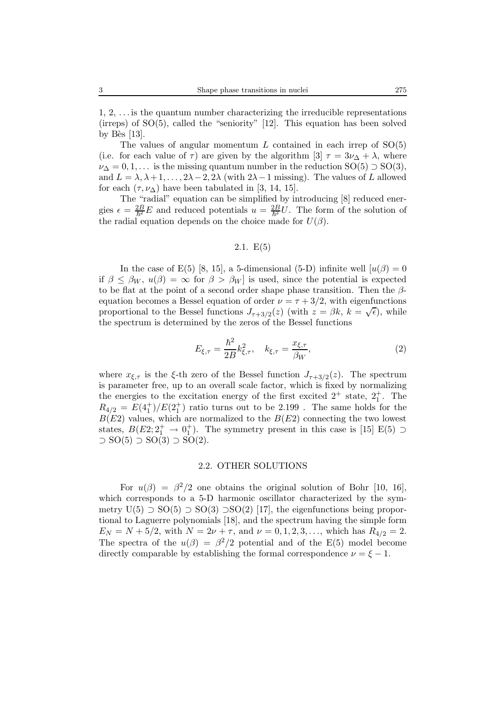The values of angular momentum  $L$  contained in each irrep of  $SO(5)$ (i.e. for each value of  $\tau$ ) are given by the algorithm [3]  $\tau = 3\nu_{\Delta} + \lambda$ , where  $\nu_{\Delta} = 0, 1, \ldots$  is the missing quantum number in the reduction  $SO(5) \supset SO(3)$ , and  $L = \lambda, \lambda + 1, \ldots, 2\lambda - 2, 2\lambda$  (with  $2\lambda - 1$  missing). The values of L allowed for each  $(\tau, \nu_{\Lambda})$  have been tabulated in [3, 14, 15].

The "radial" equation can be simplified by introducing [8] reduced energies  $\epsilon = \frac{2B}{h^2} E$  and reduced potentials  $u = \frac{2B}{h^2} U$ . The form of the solution of the radial equation depends on the choice made for  $U(3)$ the radial equation depends on the choice made for  $U(\beta)$ .

#### 2.1.  $E(5)$

In the case of E(5) [8, 15], a 5-dimensional (5-D) infinite well  $[u(\beta)=0]$ if  $\beta \leq \beta_W$ ,  $u(\beta) = \infty$  for  $\beta > \beta_W$  is used, since the potential is expected to be flat at the point of a second order shape phase transition. Then the  $\beta$ equation becomes a Bessel equation of order  $\nu = \tau + 3/2$ , with eigenfunctions proportional to the Bessel functions  $J_{\tau+3/2}(z)$  (with  $z = \beta k$ ,  $k = \sqrt{\epsilon}$ ), while the spectrum is determined by the zeros of the Bessel functions

$$
E_{\xi,\tau} = \frac{\hbar^2}{2B} k_{\xi,\tau}^2, \quad k_{\xi,\tau} = \frac{x_{\xi,\tau}}{\beta_W},
$$
 (2)

where  $x_{\xi,\tau}$  is the  $\xi$ -th zero of the Bessel function  $J_{\tau+3/2}(z)$ . The spectrum is parameter free, up to an overall scale factor, which is fixed by normalizing the energies to the excitation energy of the first excited  $2^+$  state,  $2^+_1$ . The  $R_{4/2} = E(4_1^+)/E(2_1^+)$  ratio turns out to be 2.199. The same holds for the  $B(F2)$  values which are permulized to the  $B(F2)$  connecting the two levest  $B(E2)$  values, which are normalized to the  $B(E2)$  connecting the two lowest states,  $B(E2; 2^+_1 \rightarrow 0^+_1)$ . The symmetry present in this case is [15] E(5)  $\supset$   $SO(5)$   $\supset$   $SO(3)$   $\supset$   $SO(2)$  $\supset$  SO(5)  $\supset$  SO(3)  $\supset$  SO(2).

#### 2.2. OTHER SOLUTIONS

For  $u(\beta) = \beta^2/2$  one obtains the original solution of Bohr [10, 16], which corresponds to a 5-D harmonic oscillator characterized by the symmetry  $U(5)$  ⊃ SO(5) ⊃ SO(3) ⊃SO(2) [17], the eigenfunctions being proportional to Laguerre polynomials [18], and the spectrum having the simple form  $E_N = N + 5/2$ , with  $N = 2\nu + \tau$ , and  $\nu = 0, 1, 2, 3, \ldots$ , which has  $R_{4/2} = 2$ . The spectra of the  $u(\beta) = \beta^2/2$  potential and of the E(5) model become directly comparable by establishing the formal correspondence  $\nu = \xi - 1$ .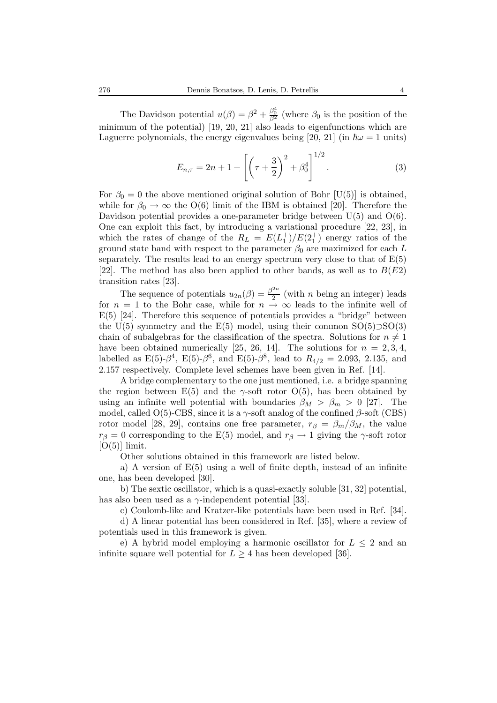The Davidson potential  $u(\beta) = \beta^2 + \frac{\beta_0^4}{\beta^2}$  (where  $\beta_0$  is the position of the minimum of the potential) [19, 20, 21] also leads to eigenfunctions which are Laguerre polynomials, the energy eigenvalues being [20, 21] (in  $\hbar\omega = 1$  units)

$$
E_{n,\tau} = 2n + 1 + \left[ \left( \tau + \frac{3}{2} \right)^2 + \beta_0^4 \right]^{1/2}.
$$
 (3)

For  $\beta_0 = 0$  the above mentioned original solution of Bohr [U(5)] is obtained, while for  $\beta_0 \to \infty$  the O(6) limit of the IBM is obtained [20]. Therefore the Davidson potential provides a one-parameter bridge between  $U(5)$  and  $O(6)$ . One can exploit this fact, by introducing a variational procedure [22, 23], in which the rates of change of the  $R_L = E(L_1^+)/E(2_1^+)$  energy ratios of the ground state hand with respect to the parameter  $\beta_0$  are maximized for each L ground state band with respect to the parameter  $\beta_0$  are maximized for each L separately. The results lead to an energy spectrum very close to that of  $E(5)$ [22]. The method has also been applied to other bands, as well as to  $B(E2)$ transition rates [23].

The sequence of potentials  $u_{2n}(\beta) = \frac{\beta^{2n}}{2}$  (with *n* being an integer) leads  $-1$  to the Bohr case, while for  $n \to \infty$  leads to the infinite well of for  $n = 1$  to the Bohr case, while for  $n \to \infty$  leads to the infinite well of  $E(5)$  [24]. Therefore this sequence of potentials provides a "bridge" between  $E(5)$  [24]. Therefore this sequence of potentials provides a "bridge" between the U(5) symmetry and the E(5) model, using their common  $SO(5)$ ⊃ $SO(3)$ chain of subalgebras for the classification of the spectra. Solutions for  $n \neq 1$ have been obtained numerically [25, 26, 14]. The solutions for  $n = 2, 3, 4$ , labelled as E(5)- $\beta^4$ , E(5)- $\beta^6$ , and E(5)- $\beta^8$ , lead to  $R_{4/2} = 2.093, 2.135,$  and 2.157 respectively. Complete level schemes have been given in Ref. [14].

A bridge complementary to the one just mentioned, i.e. a bridge spanning the region between E(5) and the  $\gamma$ -soft rotor O(5), has been obtained by using an infinite well potential with boundaries  $\beta_M > \beta_m > 0$  [27]. The model, called O(5)-CBS, since it is a  $\gamma$ -soft analog of the confined  $\beta$ -soft (CBS) rotor model [28, 29], contains one free parameter,  $r_\beta = \beta_m/\beta_M$ , the value  $r<sub>\beta</sub> = 0$  corresponding to the E(5) model, and  $r<sub>\beta</sub> \rightarrow 1$  giving the  $\gamma$ -soft rotor  $[O(5)]$  limit.

Other solutions obtained in this framework are listed below.

a) A version of  $E(5)$  using a well of finite depth, instead of an infinite one, has been developed [30].

b) The sextic oscillator, which is a quasi-exactly soluble [31, 32] potential, has also been used as a  $\gamma$ -independent potential [33].

c) Coulomb-like and Kratzer-like potentials have been used in Ref. [34].

d) A linear potential has been considered in Ref. [35], where a review of potentials used in this framework is given.

e) A hybrid model employing a harmonic oscillator for  $L \leq 2$  and an infinite square well potential for  $L > 4$  has been developed [36].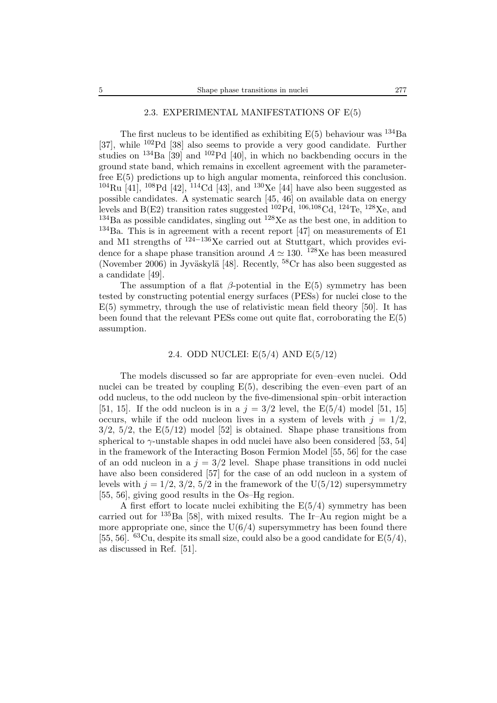# 2.3. EXPERIMENTAL MANIFESTATIONS OF E(5)

The first nucleus to be identified as exhibiting  $E(5)$  behaviour was  $^{134}Ba$ [37], while <sup>102</sup>Pd [38] also seems to provide a very good candidate. Further studies on  $^{134}$ Ba [39] and  $^{102}$ Pd [40], in which no backbending occurs in the ground state band, which remains in excellent agreement with the parameterfree E(5) predictions up to high angular momenta, reinforced this conclusion.  $104 \text{Ru}$  [41],  $108 \text{Pd}$  [42],  $114 \text{Cd}$  [43], and  $130 \text{Xe}$  [44] have also been suggested as possible candidates. A systematic search [45, 46] on available data on energy levels and B(E2) transition rates suggested  $10^{2}Pd$ ,  $106,108Cd$ ,  $124Te$ ,  $128Xe$ , and  $134Ba$  as possible candidates, singling out  $128Xe$  as the best one, in addition to  $134$ Ba. This is in agreement with a recent report [47] on measurements of E1 and M1 strengths of  $124-136$ Xe carried out at Stuttgart, which provides evidence for a shape phase transition around  $A \simeq 130$ . <sup>128</sup>Xe has been measured (November 2006) in Jyväskylä [48]. Recently,  $^{58}Cr$  has also been suggested as a candidate [49].

The assumption of a flat  $\beta$ -potential in the E(5) symmetry has been tested by constructing potential energy surfaces (PESs) for nuclei close to the  $E(5)$  symmetry, through the use of relativistic mean field theory [50]. It has been found that the relevant PESs come out quite flat, corroborating the  $E(5)$ assumption.

#### 2.4. ODD NUCLEI: E(5/4) AND E(5/12)

The models discussed so far are appropriate for even–even nuclei. Odd nuclei can be treated by coupling  $E(5)$ , describing the even–even part of an odd nucleus, to the odd nucleon by the five-dimensional spin–orbit interaction [51, 15]. If the odd nucleon is in a  $j = 3/2$  level, the E(5/4) model [51, 15] occurs, while if the odd nucleon lives in a system of levels with  $j = 1/2$ ,  $3/2$ ,  $5/2$ , the  $E(5/12)$  model [52] is obtained. Shape phase transitions from spherical to  $\gamma$ -unstable shapes in odd nuclei have also been considered [53, 54] in the framework of the Interacting Boson Fermion Model [55, 56] for the case of an odd nucleon in a  $j = 3/2$  level. Shape phase transitions in odd nuclei have also been considered [57] for the case of an odd nucleon in a system of levels with  $j = 1/2$ ,  $3/2$ ,  $5/2$  in the framework of the U(5/12) supersymmetry [55, 56], giving good results in the Os–Hg region.

A first effort to locate nuclei exhibiting the  $E(5/4)$  symmetry has been carried out for  $^{135}$ Ba [58], with mixed results. The Ir–Au region might be a more appropriate one, since the  $U(6/4)$  supersymmetry has been found there [55, 56].  $^{63}$ Cu, despite its small size, could also be a good candidate for  $E(5/4)$ , as discussed in Ref. [51].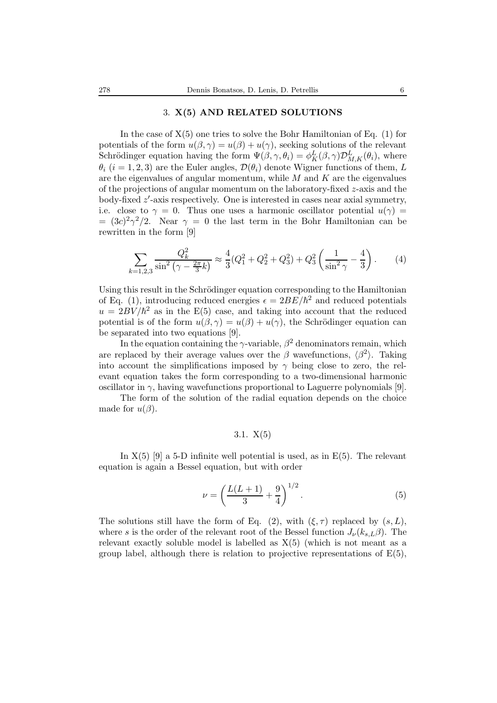#### 3. **X(5) AND RELATED SOLUTIONS**

In the case of  $X(5)$  one tries to solve the Bohr Hamiltonian of Eq. (1) for potentials of the form  $u(\beta, \gamma) = u(\beta) + u(\gamma)$ , seeking solutions of the relevant Schrödinger equation having the form  $\Psi(\beta, \gamma, \theta_i) = \phi_K^L(\beta, \gamma) \mathcal{D}_{M,K}^L(\theta_i)$ , where  $\theta_k$  (i = 1.2.3) are the Euler angles  $\mathcal{D}(\theta_k)$  denote Wisner functions of them L  $\theta_i$  (i = 1, 2, 3) are the Euler angles,  $\mathcal{D}(\theta_i)$  denote Wigner functions of them, L are the eigenvalues of angular momentum, while  $M$  and  $K$  are the eigenvalues of the projections of angular momentum on the laboratory-fixed  $z$ -axis and the body-fixed z'-axis respectively. One is interested in cases near axial symmetry,<br>i.e., close to  $\gamma = 0$ . Thus one uses a harmonic oscillator potential  $u(\gamma) =$ i.e. close to  $\gamma = 0$ . Thus one uses a harmonic oscillator potential  $u(\gamma) =$  $=(3c)^2\gamma^2/2$ . Near  $\gamma=0$  the last term in the Bohr Hamiltonian can be rewritten in the form [9]

$$
\sum_{k=1,2,3} \frac{Q_k^2}{\sin^2\left(\gamma - \frac{2\pi}{3}k\right)} \approx \frac{4}{3}(Q_1^2 + Q_2^2 + Q_3^2) + Q_3^2 \left(\frac{1}{\sin^2\gamma} - \frac{4}{3}\right). \tag{4}
$$

Using this result in the Schrödinger equation corresponding to the Hamiltonian of Eq. (1), introducing reduced energies  $\epsilon = 2BE/\hbar^2$  and reduced potentials  $u = 2BV/\hbar^2$  as in the E(5) case, and taking into account that the reduced potential is of the form  $u(\beta, \gamma) = u(\beta) + u(\gamma)$ , the Schrödinger equation can be separated into two equations [9].

In the equation containing the  $\gamma$ -variable,  $\beta^2$  denominators remain, which are replaced by their average values over the β wavefunctions,  $\langle \beta^2 \rangle$ . Taking<br>into account the simplifications imposed by  $\alpha$  being close to zero, the relinto account the simplifications imposed by  $\gamma$  being close to zero, the relevant equation takes the form corresponding to a two-dimensional harmonic oscillator in  $\gamma$ , having wavefunctions proportional to Laguerre polynomials [9].

The form of the solution of the radial equation depends on the choice made for  $u(\beta)$ .

# 3.1. X(5)

In  $X(5)$  [9] a 5-D infinite well potential is used, as in  $E(5)$ . The relevant equation is again a Bessel equation, but with order

$$
\nu = \left(\frac{L(L+1)}{3} + \frac{9}{4}\right)^{1/2}.\tag{5}
$$

The solutions still have the form of Eq. (2), with  $(\xi, \tau)$  replaced by  $(s, L)$ , where s is the order of the relevant root of the Bessel function  $J_{\nu}(k_{s,L}\beta)$ . The relevant exactly soluble model is labelled as  $X(5)$  (which is not meant as a group label, although there is relation to projective representations of  $E(5)$ ,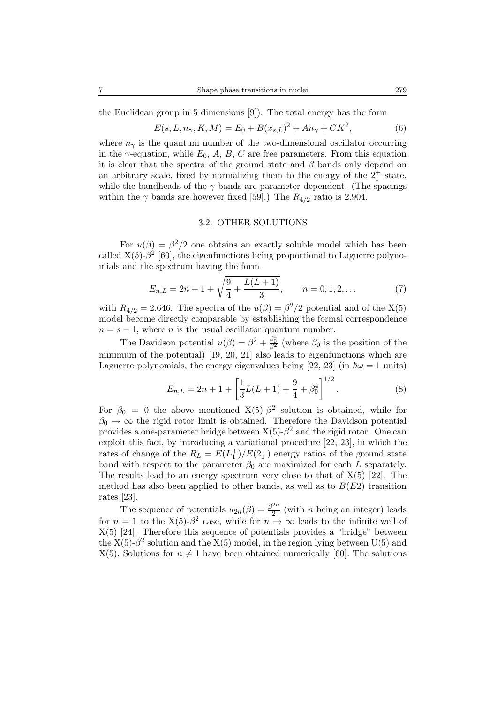the Euclidean group in 5 dimensions [9]). The total energy has the form

$$
E(s, L, n_{\gamma}, K, M) = E_0 + B(x_{s,L})^2 + An_{\gamma} + CK^2,
$$
\n(6)

where  $n_{\gamma}$  is the quantum number of the two-dimensional oscillator occurring<br>in the  $\gamma$ -equation, while  $E_0$ , A, B, C are free parameters. From this equation in the  $\gamma$ -equation, while  $E_0$ , A, B, C are free parameters. From this equation it is clear that the spectra of the ground state and  $\beta$  bands only depend on an arbitrary scale, fixed by normalizing them to the energy of the  $2^+_1$  state, while the bandheads of the  $\gamma$  bands are parameter dependent. (The spacings within the  $\gamma$  bands are however fixed [59].) The  $R_{4/2}$  ratio is 2.904.

#### 3.2. OTHER SOLUTIONS

For  $u(\beta) = \beta^2/2$  one obtains an exactly soluble model which has been called  $X(5)$ - $\beta^2$  [60], the eigenfunctions being proportional to Laguerre polynomials and the spectrum having the form

$$
E_{n,L} = 2n + 1 + \sqrt{\frac{9}{4} + \frac{L(L+1)}{3}}, \qquad n = 0, 1, 2, \dots
$$
 (7)

with  $R_{4/2} = 2.646$ . The spectra of the  $u(\beta) = \beta^2/2$  potential and of the X(5) model become directly comparable by establishing the formal correspondence  $n = s - 1$ , where *n* is the usual oscillator quantum number.

The Davidson potential  $u(\beta) = \beta^2 + \frac{\beta_0^4}{\beta^2}$  (where  $\beta_0$  is the position of the minimum of the potential) [19, 20, 21] also leads to eigenfunctions which are Laguerre polynomials, the energy eigenvalues being [22, 23] (in  $\hbar\omega = 1$  units)

$$
E_{n,L} = 2n + 1 + \left[\frac{1}{3}L(L+1) + \frac{9}{4} + \beta_0^4\right]^{1/2}.
$$
 (8)

For  $\beta_0 = 0$  the above mentioned X(5)- $\beta^2$  solution is obtained, while for  $\beta_0 \rightarrow \infty$  the rigid rotor limit is obtained. Therefore the Davidson potential provides a one-parameter bridge between  $X(5)$ - $\beta$ <sup>2</sup> and the rigid rotor. One can exploit this fact, by introducing a variational procedure [22, 23], in which the rates of change of the  $R_L = E(L_1^+)/E(2_1^+)$  energy ratios of the ground state<br>band with respect to the parameter  $\beta_0$  are maximized for each L separately band with respect to the parameter  $\beta_0$  are maximized for each L separately. The results lead to an energy spectrum very close to that of  $X(5)$  [22]. The method has also been applied to other bands, as well as to  $B(E2)$  transition rates [23].

The sequence of potentials  $u_{2n}(\beta) = \frac{\beta^{2n}}{2}$  (with *n* being an integer) leads  $= 1$  to the  $X(5)$ ,  $\beta^2$  case, while for  $n \to \infty$  leads to the infinite well of for  $n = 1$  to the X(5)- $\beta^2$  case, while for  $n \to \infty$  leads to the infinite well of  $X(5)$  [24]. Therefore this sequence of potentials provides a "bridge" between the  $X(5)$ - $\beta^2$  solution and the  $X(5)$  model, in the region lying between U(5) and  $X(5)$ . Solutions for  $n \neq 1$  have been obtained numerically [60]. The solutions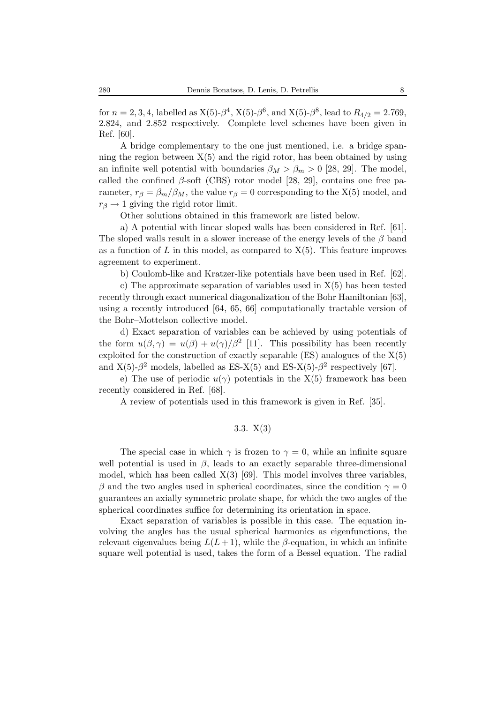for  $n = 2, 3, 4$ , labelled as  $X(5)$ - $\beta^4$ ,  $X(5)$ - $\beta^6$ , and  $X(5)$ - $\beta^8$ , lead to  $R_{4/2} = 2.769$ , 2.824, and 2.852 respectively. Complete level schemes have been given in Ref. [60].

A bridge complementary to the one just mentioned, i.e. a bridge spanning the region between  $X(5)$  and the rigid rotor, has been obtained by using an infinite well potential with boundaries  $\beta_M > \beta_m > 0$  [28, 29]. The model, called the confined  $\beta$ -soft (CBS) rotor model [28, 29], contains one free parameter,  $r_\beta = \beta_m/\beta_M$ , the value  $r_\beta = 0$  corresponding to the X(5) model, and  $r_\beta \rightarrow 1$  giving the rigid rotor limit.

Other solutions obtained in this framework are listed below.

a) A potential with linear sloped walls has been considered in Ref. [61]. The sloped walls result in a slower increase of the energy levels of the  $\beta$  band as a function of  $L$  in this model, as compared to  $X(5)$ . This feature improves agreement to experiment.

b) Coulomb-like and Kratzer-like potentials have been used in Ref. [62].

c) The approximate separation of variables used in  $X(5)$  has been tested recently through exact numerical diagonalization of the Bohr Hamiltonian [63], using a recently introduced [64, 65, 66] computationally tractable version of the Bohr–Mottelson collective model.

d) Exact separation of variables can be achieved by using potentials of the form  $u(\beta, \gamma) = u(\beta) + u(\gamma)/\beta^2$  [11]. This possibility has been recently exploited for the construction of exactly separable  $(ES)$  analogues of the  $X(5)$ and  $X(5)-\beta^2$  models, labelled as ES-X(5) and ES-X(5)- $\beta^2$  respectively [67].

e) The use of periodic  $u(\gamma)$  potentials in the X(5) framework has been recently considered in Ref. [68].

A review of potentials used in this framework is given in Ref. [35].

### 3.3. X(3)

The special case in which  $\gamma$  is frozen to  $\gamma = 0$ , while an infinite square well potential is used in  $\beta$ , leads to an exactly separable three-dimensional model, which has been called  $X(3)$  [69]. This model involves three variables,  $\beta$  and the two angles used in spherical coordinates, since the condition  $\gamma = 0$ guarantees an axially symmetric prolate shape, for which the two angles of the spherical coordinates suffice for determining its orientation in space.

Exact separation of variables is possible in this case. The equation involving the angles has the usual spherical harmonics as eigenfunctions, the relevant eigenvalues being  $L(L + 1)$ , while the  $\beta$ -equation, in which an infinite square well potential is used, takes the form of a Bessel equation. The radial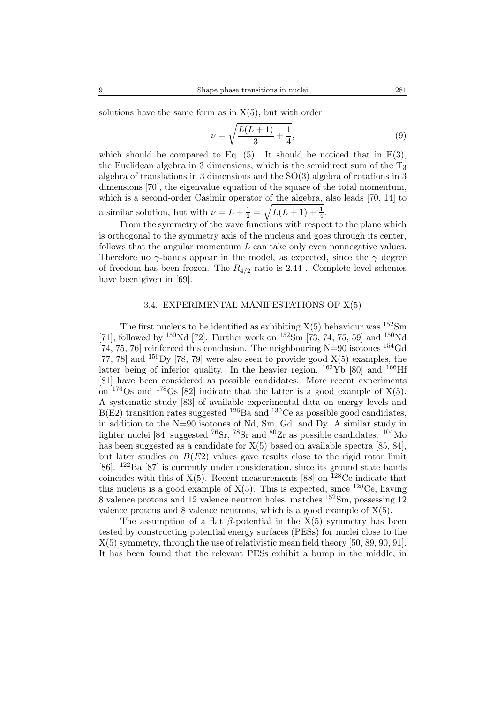solutions have the same form as in  $X(5)$ , but with order

$$
\nu = \sqrt{\frac{L(L+1)}{3} + \frac{1}{4}},\tag{9}
$$

which should be compared to Eq.  $(5)$ . It should be noticed that in E $(3)$ , the Euclidean algebra in 3 dimensions, which is the semidirect sum of the  $T_3$ algebra of translations in 3 dimensions and the SO(3) algebra of rotations in 3 dimensions [70], the eigenvalue equation of the square of the total momentum, which is a second-order Casimir operator of the algebra, also leads [70, 14] to a similar solution, but with  $\nu = L + \frac{1}{2} = \sqrt{L(L+1) + \frac{1}{4}}$ .

From the symmetry of the wave functions with respect to the plane which is orthogonal to the symmetry axis of the nucleus and goes through its center, follows that the angular momentum  $L$  can take only even nonnegative values. Therefore no  $\gamma$ -bands appear in the model, as expected, since the  $\gamma$  degree of freedom has been frozen. The  $R_{4/2}$  ratio is 2.44. Complete level schemes have been given in [69].

### 3.4. EXPERIMENTAL MANIFESTATIONS OF X(5)

The first nucleus to be identified as exhibiting  $X(5)$  behaviour was  $152\text{Sm}$ [71], followed by <sup>150</sup>Nd [72]. Further work on <sup>152</sup>Sm [73, 74, 75, 59] and <sup>150</sup>Nd [74, 75, 76] reinforced this conclusion. The neighbouring  $N=90$  isotones  $^{154}$ Gd [77, 78] and  $^{156}$ Dy [78, 79] were also seen to provide good  $X(5)$  examples, the latter being of inferior quality. In the heavier region,  $^{162}\text{Yb}$  [80] and  $^{166}\text{Hf}$ [81] have been considered as possible candidates. More recent experiments on  $176$ Os and  $178$ Os [82] indicate that the latter is a good example of X(5). A systematic study [83] of available experimental data on energy levels and  $B(E2)$  transition rates suggested  $126$  Ba and  $130$ Ce as possible good candidates, in addition to the N=90 isotones of Nd, Sm, Gd, and Dy. A similar study in lighter nuclei [84] suggested  ${}^{76}Sr$ ,  ${}^{78}Sr$  and  ${}^{80}Zr$  as possible candidates.  ${}^{104}Mo$ has been suggested as a candidate for  $X(5)$  based on available spectra [85, 84], but later studies on  $B(E2)$  values gave results close to the rigid rotor limit [86]. <sup>122</sup>Ba [87] is currently under consideration, since its ground state bands coincides with this of  $X(5)$ . Recent measurements [88] on <sup>128</sup>Ce indicate that this nucleus is a good example of  $X(5)$ . This is expected, since <sup>128</sup>Ce, having 8 valence protons and 12 valence neutron holes, matches <sup>152</sup>Sm, possessing 12 valence protons and 8 valence neutrons, which is a good example of X(5).

The assumption of a flat  $\beta$ -potential in the X(5) symmetry has been tested by constructing potential energy surfaces (PESs) for nuclei close to the X(5) symmetry, through the use of relativistic mean field theory [50, 89, 90, 91]. It has been found that the relevant PESs exhibit a bump in the middle, in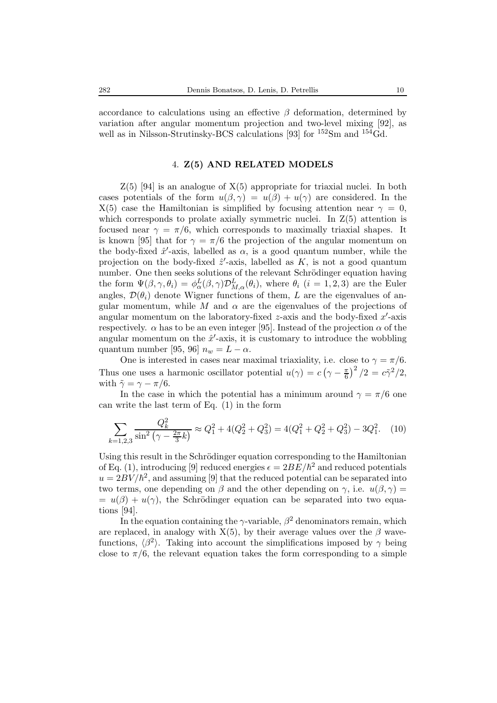#### 4. **Z(5) AND RELATED MODELS**

 $Z(5)$  [94] is an analogue of  $X(5)$  appropriate for triaxial nuclei. In both cases potentials of the form  $u(\beta, \gamma) = u(\beta) + u(\gamma)$  are considered. In the  $X(5)$  case the Hamiltonian is simplified by focusing attention near  $\gamma = 0$ , which corresponds to prolate axially symmetric nuclei. In  $Z(5)$  attention is focused near  $\gamma = \pi/6$ , which corresponds to maximally triaxial shapes. It is known [95] that for  $\gamma = \pi/6$  the projection of the angular momentum on the body-fixed  $\hat{x}'$ -axis, labelled as  $\alpha$ , is a good quantum number, while the projection on the body-fixed  $\hat{z}'$ -axis, labelled as K is not a good quantum projection on the body-fixed  $\hat{z}'$ -axis, labelled as  $K$ , is not a good quantum<br>number. One then seeks solutions of the relevant Schrödinger equation having number. One then seeks solutions of the relevant Schrödinger equation having the form  $\Psi(\beta, \gamma, \theta_i) = \phi_0^L(\beta, \gamma) \mathcal{D}_{M,\alpha}^L(\theta_i)$ , where  $\theta_i$  (i = 1, 2, 3) are the Euler angles,  $\mathcal{D}(\theta_i)$  denote Wigner functions of them, L are the eigenvalues of angular momentum, while M and  $\alpha$  are the eigenvalues of the projections of angular momentum on the laboratory-fixed z-axis and the body-fixed  $x'$ -axis<br>respectively  $\alpha$  has to be an even integer [95]. Instead of the projection  $\alpha$  of the respectively.  $\alpha$  has to be an even integer [95]. Instead of the projection  $\alpha$  of the angular momentum on the  $\hat{x}'$ -axis, it is customary to introduce the wobbling<br>quantum number [95, 96]  $n = L - \alpha$ quantum number [95, 96]  $n_w = L - \alpha$ .

One is interested in cases near maximal triaxiality, i.e. close to  $\gamma = \pi/6$ . Thus one uses a harmonic oscillator potential  $u(\gamma) = c(\gamma - \frac{\pi}{6})^2/2 = c\tilde{\gamma}^2/2$ , with  $\tilde{\gamma} = \gamma - \pi/6$ .

In the case in which the potential has a minimum around  $\gamma = \pi/6$  one can write the last term of Eq. (1) in the form

$$
\sum_{k=1,2,3} \frac{Q_k^2}{\sin^2\left(\gamma - \frac{2\pi}{3}k\right)} \approx Q_1^2 + 4(Q_2^2 + Q_3^2) = 4(Q_1^2 + Q_2^2 + Q_3^2) - 3Q_1^2. \tag{10}
$$

Using this result in the Schrödinger equation corresponding to the Hamiltonian of Eq. (1), introducing [9] reduced energies  $\epsilon = 2BE/\hbar^2$  and reduced potentials  $u = 2BV/\hbar^2$ , and assuming [9] that the reduced potential can be separated into two terms, one depending on  $\beta$  and the other depending on  $\gamma$ , i.e.  $u(\beta, \gamma) =$  $= u(\beta) + u(\gamma)$ , the Schrödinger equation can be separated into two equations [94].

In the equation containing the  $\gamma$ -variable,  $\beta^2$  denominators remain, which are replaced, in analogy with  $X(5)$ , by their average values over the  $\beta$  wavefunctions,  $\langle \beta^2 \rangle$ . Taking into account the simplifications imposed by  $\gamma$  being close to  $\pi/6$ , the relevant equation takes the form corresponding to a simple close to  $\pi/6$ , the relevant equation takes the form corresponding to a simple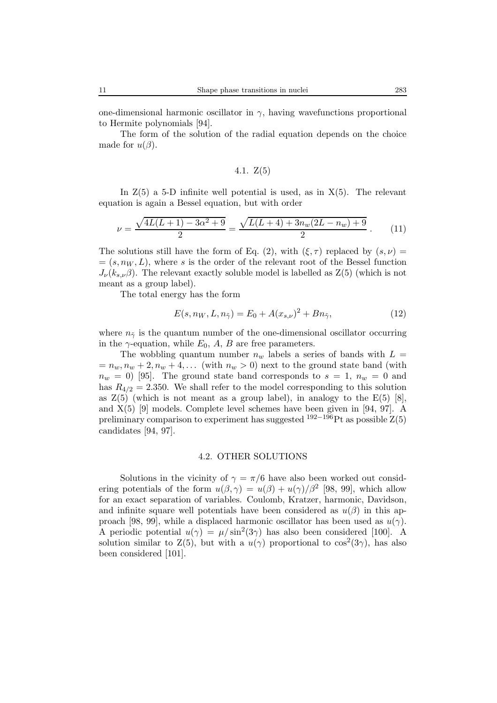one-dimensional harmonic oscillator in  $\gamma$ , having wavefunctions proportional to Hermite polynomials [94].

The form of the solution of the radial equation depends on the choice made for  $u(\beta)$ .

$$
4.1. Z(5)
$$

In  $Z(5)$  a 5-D infinite well potential is used, as in  $X(5)$ . The relevant equation is again a Bessel equation, but with order

$$
\nu = \frac{\sqrt{4L(L+1) - 3\alpha^2 + 9}}{2} = \frac{\sqrt{L(L+4) + 3n_w(2L-n_w) + 9}}{2} \,. \tag{11}
$$

The solutions still have the form of Eq. (2), with  $(\xi, \tau)$  replaced by  $(s, \nu)$  =  $=(s, n_W, L)$ , where s is the order of the relevant root of the Bessel function  $J_{\nu}(k_{s,\nu}\beta)$ . The relevant exactly soluble model is labelled as  $Z(5)$  (which is not meant as a group label).

The total energy has the form

$$
E(s, n_W, L, n_{\tilde{\gamma}}) = E_0 + A(x_{s,\nu})^2 + B n_{\tilde{\gamma}},
$$
\n(12)

where  $n_{\tilde{\gamma}}$  is the quantum number of the one-dimensional oscillator occurring in the  $\gamma$ -equation, while  $E_0$ , A, B are free parameters.

The wobbling quantum number  $n_w$  labels a series of bands with  $L =$  $n_w = n_w, n_w + 2, n_w + 4, \ldots$  (with  $n_w > 0$ ) next to the ground state band (with  $n_w = 0$  [95]. The ground state band corresponds to  $s = 1, n_w = 0$  and has  $R_{4/2} = 2.350$ . We shall refer to the model corresponding to this solution as  $Z(5)$  (which is not meant as a group label), in analogy to the  $E(5)$  [8], and X(5) [9] models. Complete level schemes have been given in [94, 97]. A preliminary comparison to experiment has suggested  $192-196$ Pt as possible  $Z(5)$ candidates [94, 97].

#### 4.2. OTHER SOLUTIONS

Solutions in the vicinity of  $\gamma = \pi/6$  have also been worked out considering potentials of the form  $u(\beta, \gamma) = u(\beta) + u(\gamma)/\beta^2$  [98, 99], which allow for an exact separation of variables. Coulomb, Kratzer, harmonic, Davidson, and infinite square well potentials have been considered as  $u(\beta)$  in this approach [98, 99], while a displaced harmonic oscillator has been used as  $u(\gamma)$ . A periodic potential  $u(\gamma) = \mu / \sin^2(3\gamma)$  has also been considered [100]. A solution similar to  $Z(5)$ , but with a  $u(\gamma)$  proportional to  $\cos^2(3\gamma)$ , has also been considered [101].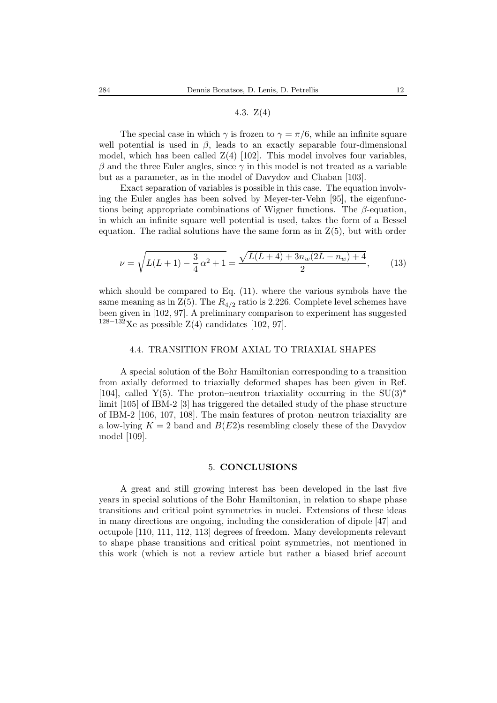# 4.3. Z(4)

The special case in which  $\gamma$  is frozen to  $\gamma = \pi/6$ , while an infinite square well potential is used in  $\beta$ , leads to an exactly separable four-dimensional model, which has been called  $Z(4)$  [102]. This model involves four variables,  $\beta$  and the three Euler angles, since  $\gamma$  in this model is not treated as a variable but as a parameter, as in the model of Davydov and Chaban [103].

Exact separation of variables is possible in this case. The equation involving the Euler angles has been solved by Meyer-ter-Vehn [95], the eigenfunctions being appropriate combinations of Wigner functions. The  $\beta$ -equation, in which an infinite square well potential is used, takes the form of a Bessel equation. The radial solutions have the same form as in  $Z(5)$ , but with order

$$
\nu = \sqrt{L(L+1) - \frac{3}{4}\alpha^2 + 1} = \frac{\sqrt{L(L+4) + 3n_w(2L - n_w) + 4}}{2},\tag{13}
$$

which should be compared to Eq. (11). where the various symbols have the same meaning as in  $Z(5)$ . The  $R_{4/2}$  ratio is 2.226. Complete level schemes have been given in [102, 97]. A preliminary comparison to experiment has suggested  $128-132$ Xe as possible Z(4) candidates [102, 97].

#### 4.4. TRANSITION FROM AXIAL TO TRIAXIAL SHAPES

A special solution of the Bohr Hamiltonian corresponding to a transition from axially deformed to triaxially deformed shapes has been given in Ref. [104], called Y(5). The proton–neutron triaxiality occurring in the SU(3)<sup>\*</sup> limit [105] of IBM-2 [3] has triggered the detailed study of the phase structure of IBM-2 [106, 107, 108]. The main features of proton–neutron triaxiality are a low-lying  $K = 2$  band and  $B(E2)$ s resembling closely these of the Davydov model [109].

#### 5. **CONCLUSIONS**

A great and still growing interest has been developed in the last five years in special solutions of the Bohr Hamiltonian, in relation to shape phase transitions and critical point symmetries in nuclei. Extensions of these ideas in many directions are ongoing, including the consideration of dipole [47] and octupole [110, 111, 112, 113] degrees of freedom. Many developments relevant to shape phase transitions and critical point symmetries, not mentioned in this work (which is not a review article but rather a biased brief account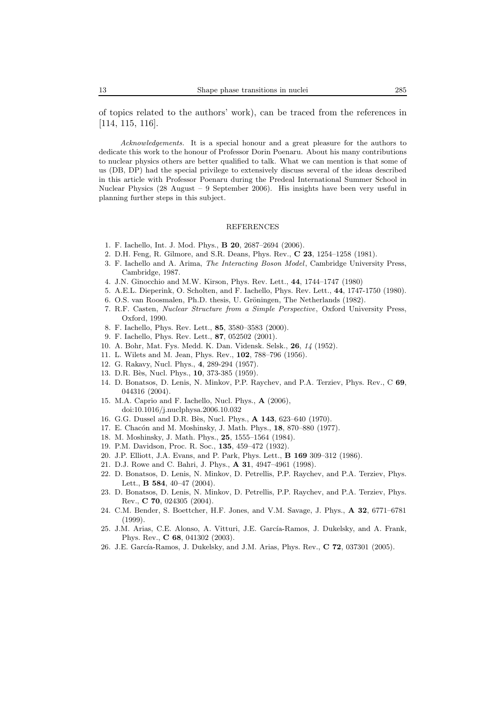of topics related to the authors' work), can be traced from the references in [114, 115, 116].

*Acknowledgements.* It is a special honour and a great pleasure for the authors to dedicate this work to the honour of Professor Dorin Poenaru. About his many contributions to nuclear physics others are better qualified to talk. What we can mention is that some of us (DB, DP) had the special privilege to extensively discuss several of the ideas described in this article with Professor Poenaru during the Predeal International Summer School in Nuclear Physics (28 August – 9 September 2006). His insights have been very useful in planning further steps in this subject.

#### REFERENCES

- 1. F. Iachello, Int. J. Mod. Phys., **B 20**, 2687–2694 (2006).
- 2. D.H. Feng, R. Gilmore, and S.R. Deans, Phys. Rev., **C 23**, 1254–1258 (1981).
- 3. F. Iachello and A. Arima, *The Interacting Boson Model*, Cambridge University Press, Cambridge, 1987.
- 4. J.N. Ginocchio and M.W. Kirson, Phys. Rev. Lett., **44**, 1744–1747 (1980)
- 5. A.E.L. Dieperink, O. Scholten, and F. Iachello, Phys. Rev. Lett., **44**, 1747-1750 (1980).
- 6. O.S. van Roosmalen, Ph.D. thesis, U. Gröningen, The Netherlands (1982).
- 7. R.F. Casten, *Nuclear Structure from a Simple Perspective*, Oxford University Press, Oxford, 1990.
- 8. F. Iachello, Phys. Rev. Lett., **85**, 3580–3583 (2000).
- 9. F. Iachello, Phys. Rev. Lett., **87**, 052502 (2001).
- 10. A. Bohr, Mat. Fys. Medd. K. Dan. Vidensk. Selsk., **26**, *14* (1952).
- 11. L. Wilets and M. Jean, Phys. Rev., **102**, 788–796 (1956).
- 12. G. Rakavy, Nucl. Phys., **4**, 289-294 (1957).
- 13. D.R. B`es, Nucl. Phys., **10**, 373-385 (1959).
- 14. D. Bonatsos, D. Lenis, N. Minkov, P.P. Raychev, and P.A. Terziev, Phys. Rev., C **69**, 044316 (2004).
- 15. M.A. Caprio and F. Iachello, Nucl. Phys., **A** (2006), doi:10.1016/j.nuclphysa.2006.10.032
- 16. G.G. Dussel and D.R. B`es, Nucl. Phys., **A 143**, 623–640 (1970).
- 17. E. Chacón and M. Moshinsky, J. Math. Phys., **18**, 870–880 (1977).
- 18. M. Moshinsky, J. Math. Phys., **25**, 1555–1564 (1984).
- 19. P.M. Davidson, Proc. R. Soc., **135**, 459–472 (1932).
- 20. J.P. Elliott, J.A. Evans, and P. Park, Phys. Lett., **B 169** 309–312 (1986).
- 21. D.J. Rowe and C. Bahri, J. Phys., **A 31**, 4947–4961 (1998).
- 22. D. Bonatsos, D. Lenis, N. Minkov, D. Petrellis, P.P. Raychev, and P.A. Terziev, Phys. Lett., **B 584**, 40–47 (2004).
- 23. D. Bonatsos, D. Lenis, N. Minkov, D. Petrellis, P.P. Raychev, and P.A. Terziev, Phys. Rev., **C 70**, 024305 (2004).
- 24. C.M. Bender, S. Boettcher, H.F. Jones, and V.M. Savage, J. Phys., **A 32**, 6771–6781 (1999).
- 25. J.M. Arias, C.E. Alonso, A. Vitturi, J.E. García-Ramos, J. Dukelsky, and A. Frank, Phys. Rev., **C 68**, 041302 (2003).
- 26. J.E. García-Ramos, J. Dukelsky, and J.M. Arias, Phys. Rev., **C 72**, 037301 (2005).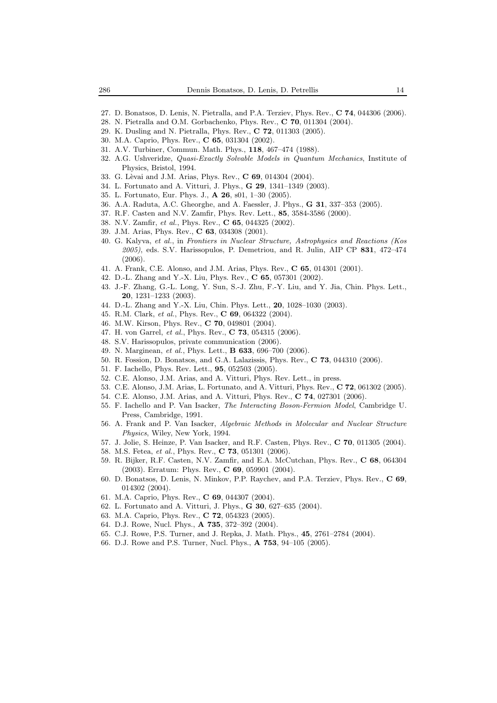- 27. D. Bonatsos, D. Lenis, N. Pietralla, and P.A. Terziev, Phys. Rev., **C 74**, 044306 (2006).
- 28. N. Pietralla and O.M. Gorbachenko, Phys. Rev., **C 70**, 011304 (2004).
- 29. K. Dusling and N. Pietralla, Phys. Rev., **C 72**, 011303 (2005).
- 30. M.A. Caprio, Phys. Rev., **C 65**, 031304 (2002).
- 31. A.V. Turbiner, Commun. Math. Phys., **118**, 467–474 (1988).
- 32. A.G. Ushveridze, *Quasi-Exactly Solvable Models in Quantum Mechanics*, Institute of Physics, Bristol, 1994.
- 33. G. L`evai and J.M. Arias, Phys. Rev., **C 69**, 014304 (2004).
- 34. L. Fortunato and A. Vitturi, J. Phys., **G 29**, 1341–1349 (2003).
- 35. L. Fortunato, Eur. Phys. J., **A 26**, s01, 1–30 (2005).
- 36. A.A. Raduta, A.C. Gheorghe, and A. Faessler, J. Phys., **G 31**, 337–353 (2005).
- 37. R.F. Casten and N.V. Zamfir, Phys. Rev. Lett., **85**, 3584-3586 (2000).
- 38. N.V. Zamfir, *et al.*, Phys. Rev., **C 65**, 044325 (2002).
- 39. J.M. Arias, Phys. Rev., **C 63**, 034308 (2001).
- 40. G. Kalyva, *et al.*, in *Frontiers in Nuclear Structure, Astrophysics and Reactions (Kos 2005)*, eds. S.V. Harissopulos, P. Demetriou, and R. Julin, AIP CP **831**, 472–474 (2006).
- 41. A. Frank, C.E. Alonso, and J.M. Arias, Phys. Rev., **C 65**, 014301 (2001).
- 42. D.-L. Zhang and Y.-X. Liu, Phys. Rev., **C 65**, 057301 (2002).
- 43. J.-F. Zhang, G.-L. Long, Y. Sun, S.-J. Zhu, F.-Y. Liu, and Y. Jia, Chin. Phys. Lett., **20**, 1231–1233 (2003).
- 44. D.-L. Zhang and Y.-X. Liu, Chin. Phys. Lett., **20**, 1028–1030 (2003).
- 45. R.M. Clark, *et al.*, Phys. Rev., **C 69**, 064322 (2004).
- 46. M.W. Kirson, Phys. Rev., **C 70**, 049801 (2004).
- 47. H. von Garrel, *et al.*, Phys. Rev., **C 73**, 054315 (2006).
- 48. S.V. Harissopulos, private communication (2006).
- 49. N. Marginean, *et al.*, Phys. Lett., **B 633**, 696–700 (2006).
- 50. R. Fossion, D. Bonatsos, and G.A. Lalazissis, Phys. Rev., **C 73**, 044310 (2006).
- 51. F. Iachello, Phys. Rev. Lett., **95**, 052503 (2005).
- 52. C.E. Alonso, J.M. Arias, and A. Vitturi, Phys. Rev. Lett., in press.
- 53. C.E. Alonso, J.M. Arias, L. Fortunato, and A. Vitturi, Phys. Rev., **C 72**, 061302 (2005).
- 54. C.E. Alonso, J.M. Arias, and A. Vitturi, Phys. Rev., **C 74**, 027301 (2006).
- 55. F. Iachello and P. Van Isacker, *The Interacting Boson-Fermion Model*, Cambridge U. Press, Cambridge, 1991.
- 56. A. Frank and P. Van Isacker, *Algebraic Methods in Molecular and Nuclear Structure Physics*, Wiley, New York, 1994.
- 57. J. Jolie, S. Heinze, P. Van Isacker, and R.F. Casten, Phys. Rev., **C 70**, 011305 (2004).
- 58. M.S. Fetea, *et al.*, Phys. Rev., **C 73**, 051301 (2006).
- 59. R. Bijker, R.F. Casten, N.V. Zamfir, and E.A. McCutchan, Phys. Rev., **C 68**, 064304 (2003). Erratum: Phys. Rev., **C 69**, 059901 (2004).
- 60. D. Bonatsos, D. Lenis, N. Minkov, P.P. Raychev, and P.A. Terziev, Phys. Rev., **C 69**, 014302 (2004).
- 61. M.A. Caprio, Phys. Rev., **C 69**, 044307 (2004).
- 62. L. Fortunato and A. Vitturi, J. Phys., **G 30**, 627–635 (2004).
- 63. M.A. Caprio, Phys. Rev., **C 72**, 054323 (2005).
- 64. D.J. Rowe, Nucl. Phys., **A 735**, 372–392 (2004).
- 65. C.J. Rowe, P.S. Turner, and J. Repka, J. Math. Phys., **45**, 2761–2784 (2004).
- 66. D.J. Rowe and P.S. Turner, Nucl. Phys., **A 753**, 94–105 (2005).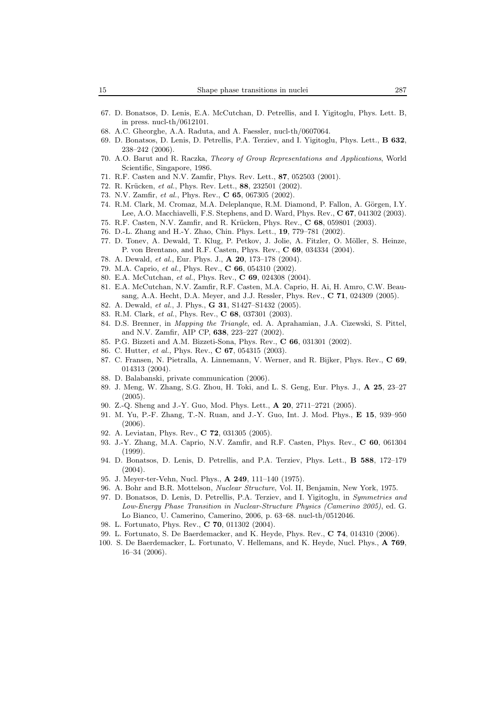- 67. D. Bonatsos, D. Lenis, E.A. McCutchan, D. Petrellis, and I. Yigitoglu, Phys. Lett. B, in press. nucl-th/0612101.
- 68. A.C. Gheorghe, A.A. Raduta, and A. Faessler, nucl-th/0607064.
- 69. D. Bonatsos, D. Lenis, D. Petrellis, P.A. Terziev, and I. Yigitoglu, Phys. Lett., **B 632**, 238–242 (2006).
- 70. A.O. Barut and R. Raczka, *Theory of Group Representations and Applications*, World Scientific, Singapore, 1986.
- 71. R.F. Casten and N.V. Zamfir, Phys. Rev. Lett., **87**, 052503 (2001).
- 72. R. Krücken, *et al.*, Phys. Rev. Lett., 88, 232501 (2002).
- 73. N.V. Zamfir, *et al.*, Phys. Rev., **C 65**, 067305 (2002).
- 74. R.M. Clark, M. Cromaz, M.A. Deleplanque, R.M. Diamond, P. Fallon, A. Görgen, I.Y. Lee, A.O. Macchiavelli, F.S. Stephens, and D. Ward, Phys. Rev., **C 67**, 041302 (2003).
- 75. R.F. Casten, N.V. Zamfir, and R. Krücken, Phys. Rev., **C 68**, 059801 (2003).
- 76. D.-L. Zhang and H.-Y. Zhao, Chin. Phys. Lett., **19**, 779–781 (2002).
- 77. D. Tonev, A. Dewald, T. Klug, P. Petkov, J. Jolie, A. Fitzler, O. Möller, S. Heinze, P. von Brentano, and R.F. Casten, Phys. Rev., **C 69**, 034334 (2004).
- 78. A. Dewald, *et al.*, Eur. Phys. J., **A 20**, 173–178 (2004).
- 79. M.A. Caprio, *et al.*, Phys. Rev., **C 66**, 054310 (2002).
- 80. E.A. McCutchan, *et al.*, Phys. Rev., **C 69**, 024308 (2004).
- 81. E.A. McCutchan, N.V. Zamfir, R.F. Casten, M.A. Caprio, H. Ai, H. Amro, C.W. Beausang, A.A. Hecht, D.A. Meyer, and J.J. Ressler, Phys. Rev., **C 71**, 024309 (2005).
- 82. A. Dewald, *et al.*, J. Phys., **G 31**, S1427–S1432 (2005).
- 83. R.M. Clark, *et al.*, Phys. Rev., **C 68**, 037301 (2003).
- 84. D.S. Brenner, in *Mapping the Triangle*, ed. A. Aprahamian, J.A. Cizewski, S. Pittel, and N.V. Zamfir, AIP CP, **638**, 223–227 (2002).
- 85. P.G. Bizzeti and A.M. Bizzeti-Sona, Phys. Rev., **C 66**, 031301 (2002).
- 86. C. Hutter, *et al.*, Phys. Rev., **C 67**, 054315 (2003).
- 87. C. Fransen, N. Pietralla, A. Linnemann, V. Werner, and R. Bijker, Phys. Rev., **C 69**, 014313 (2004).
- 88. D. Balabanski, private communication (2006).
- 89. J. Meng, W. Zhang, S.G. Zhou, H. Toki, and L. S. Geng, Eur. Phys. J., **A 25**, 23–27 (2005).
- 90. Z.-Q. Sheng and J.-Y. Guo, Mod. Phys. Lett., **A 20**, 2711–2721 (2005).
- 91. M. Yu, P.-F. Zhang, T.-N. Ruan, and J.-Y. Guo, Int. J. Mod. Phys., **E 15**, 939–950 (2006).
- 92. A. Leviatan, Phys. Rev., **C 72**, 031305 (2005).
- 93. J.-Y. Zhang, M.A. Caprio, N.V. Zamfir, and R.F. Casten, Phys. Rev., **C 60**, 061304 (1999).
- 94. D. Bonatsos, D. Lenis, D. Petrellis, and P.A. Terziev, Phys. Lett., **B 588**, 172–179 (2004).
- 95. J. Meyer-ter-Vehn, Nucl. Phys., **A 249**, 111–140 (1975).
- 96. A. Bohr and B.R. Mottelson, *Nuclear Structure*, Vol. II, Benjamin, New York, 1975.
- 97. D. Bonatsos, D. Lenis, D. Petrellis, P.A. Terziev, and I. Yigitoglu, in *Symmetries and Low-Energy Phase Transition in Nuclear-Structure Physics (Camerino 2005)*, ed. G. Lo Bianco, U. Camerino, Camerino, 2006, p. 63–68. nucl-th/0512046.
- 98. L. Fortunato, Phys. Rev., **C 70**, 011302 (2004).
- 99. L. Fortunato, S. De Baerdemacker, and K. Heyde, Phys. Rev., **C 74**, 014310 (2006).
- 100. S. De Baerdemacker, L. Fortunato, V. Hellemans, and K. Heyde, Nucl. Phys., **A 769**, 16–34 (2006).